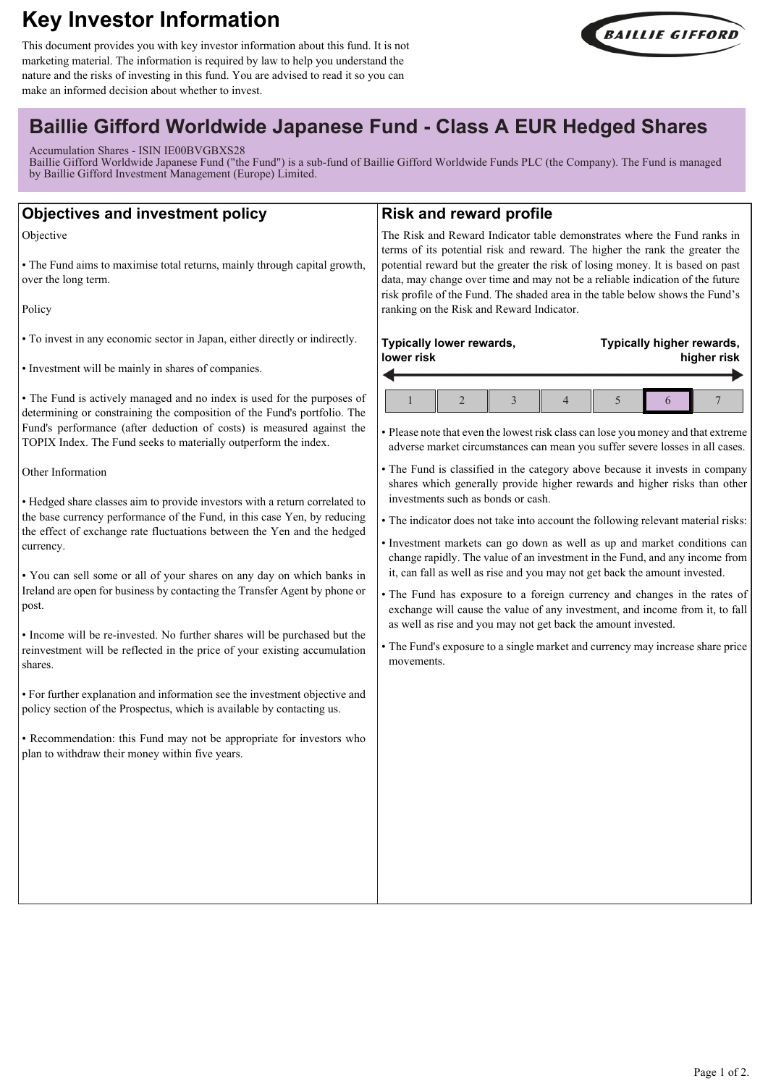# **Key Investor Information**

This document provides you with key investor information about this fund. It is not marketing material. The information is required by law to help you understand the nature and the risks of investing in this fund. You are advised to read it so you can make an informed decision about whether to invest.



## **Baillie Gifford Worldwide Japanese Fund - Class A EUR Hedged Shares**

Accumulation Shares - ISIN IE00BVGBXS28

Baillie Gifford Worldwide Japanese Fund ("the Fund") is a sub-fund of Baillie Gifford Worldwide Funds PLC (the Company). The Fund is managed by Baillie Gifford Investment Management (Europe) Limited.

| <b>Objectives and investment policy</b>                                                                                                                                                                                                                                                                                                                                                                                                                                                                                                                                                                                                                                                                                                                                                                                                                                                                                                                                                                                                                                                                                                                                                                                                                                                                                                | <b>Risk and reward profile</b>                                                                                                                                                                                                                                                                                                                                                                                                                                                                                                                                                                                                                                                                                                                                                                                                                                                                                                                                                                                                                                                                                                                                                 |
|----------------------------------------------------------------------------------------------------------------------------------------------------------------------------------------------------------------------------------------------------------------------------------------------------------------------------------------------------------------------------------------------------------------------------------------------------------------------------------------------------------------------------------------------------------------------------------------------------------------------------------------------------------------------------------------------------------------------------------------------------------------------------------------------------------------------------------------------------------------------------------------------------------------------------------------------------------------------------------------------------------------------------------------------------------------------------------------------------------------------------------------------------------------------------------------------------------------------------------------------------------------------------------------------------------------------------------------|--------------------------------------------------------------------------------------------------------------------------------------------------------------------------------------------------------------------------------------------------------------------------------------------------------------------------------------------------------------------------------------------------------------------------------------------------------------------------------------------------------------------------------------------------------------------------------------------------------------------------------------------------------------------------------------------------------------------------------------------------------------------------------------------------------------------------------------------------------------------------------------------------------------------------------------------------------------------------------------------------------------------------------------------------------------------------------------------------------------------------------------------------------------------------------|
| Objective<br>• The Fund aims to maximise total returns, mainly through capital growth,<br>over the long term.<br>Policy                                                                                                                                                                                                                                                                                                                                                                                                                                                                                                                                                                                                                                                                                                                                                                                                                                                                                                                                                                                                                                                                                                                                                                                                                | The Risk and Reward Indicator table demonstrates where the Fund ranks in<br>terms of its potential risk and reward. The higher the rank the greater the<br>potential reward but the greater the risk of losing money. It is based on past<br>data, may change over time and may not be a reliable indication of the future<br>risk profile of the Fund. The shaded area in the table below shows the Fund's<br>ranking on the Risk and Reward Indicator.                                                                                                                                                                                                                                                                                                                                                                                                                                                                                                                                                                                                                                                                                                                       |
| • To invest in any economic sector in Japan, either directly or indirectly.<br>• Investment will be mainly in shares of companies.<br>• The Fund is actively managed and no index is used for the purposes of<br>determining or constraining the composition of the Fund's portfolio. The<br>Fund's performance (after deduction of costs) is measured against the<br>TOPIX Index. The Fund seeks to materially outperform the index.<br>Other Information<br>• Hedged share classes aim to provide investors with a return correlated to<br>the base currency performance of the Fund, in this case Yen, by reducing<br>the effect of exchange rate fluctuations between the Yen and the hedged<br>currency.<br>. You can sell some or all of your shares on any day on which banks in<br>Ireland are open for business by contacting the Transfer Agent by phone or<br>post.<br>• Income will be re-invested. No further shares will be purchased but the<br>reinvestment will be reflected in the price of your existing accumulation<br>shares.<br>• For further explanation and information see the investment objective and<br>policy section of the Prospectus, which is available by contacting us.<br>· Recommendation: this Fund may not be appropriate for investors who<br>plan to withdraw their money within five years. | Typically lower rewards,<br>Typically higher rewards,<br>lower risk<br>higher risk<br>$\overline{2}$<br>3<br>$\overline{4}$<br>5<br>7<br>6<br>• Please note that even the lowest risk class can lose you money and that extreme<br>adverse market circumstances can mean you suffer severe losses in all cases.<br>• The Fund is classified in the category above because it invests in company<br>shares which generally provide higher rewards and higher risks than other<br>investments such as bonds or cash.<br>• The indicator does not take into account the following relevant material risks:<br>· Investment markets can go down as well as up and market conditions can<br>change rapidly. The value of an investment in the Fund, and any income from<br>it, can fall as well as rise and you may not get back the amount invested.<br>• The Fund has exposure to a foreign currency and changes in the rates of<br>exchange will cause the value of any investment, and income from it, to fall<br>as well as rise and you may not get back the amount invested.<br>• The Fund's exposure to a single market and currency may increase share price<br>movements. |